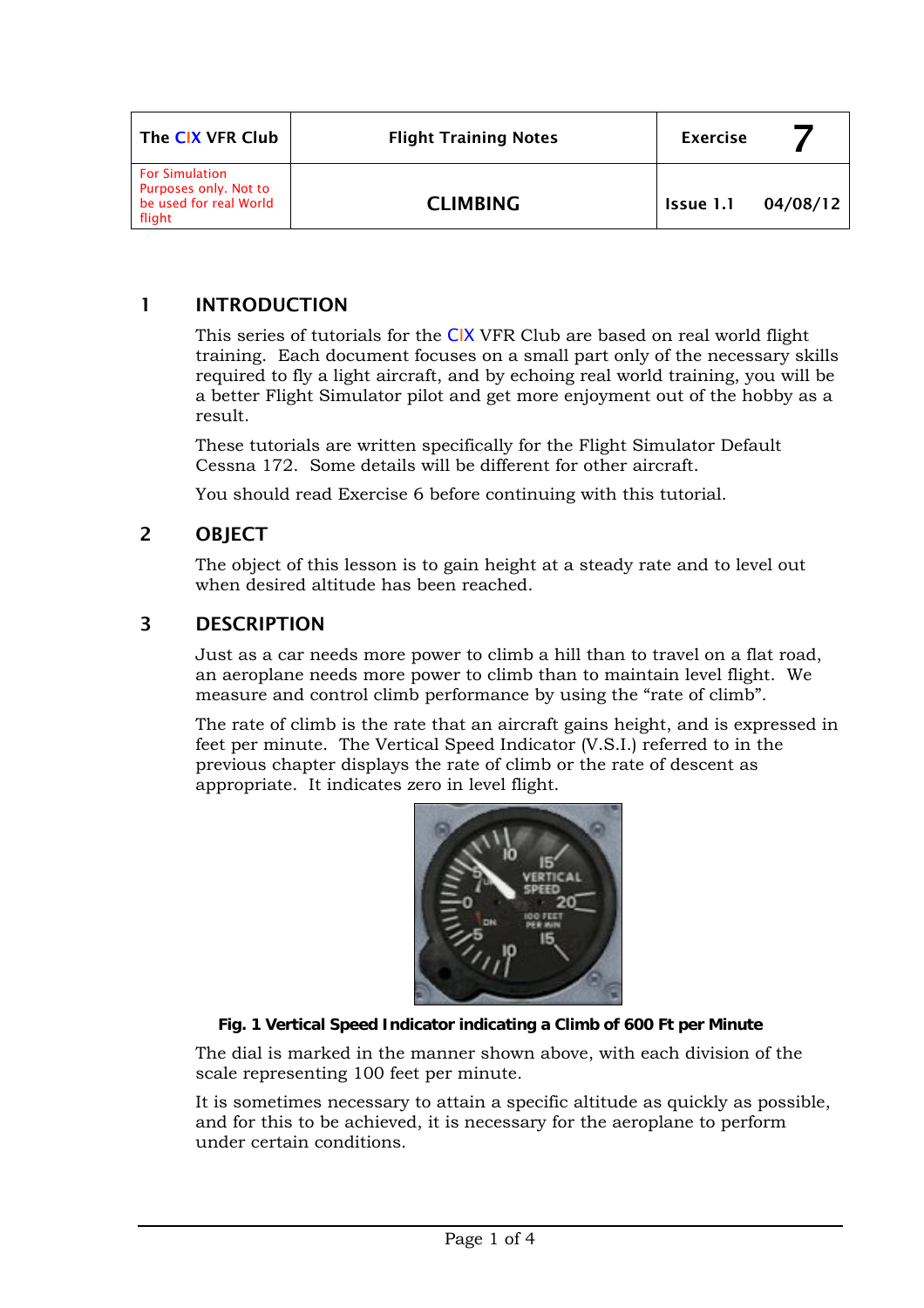| The CIX VFR Club                                                                   | <b>Flight Training Notes</b> | <b>Exercise</b> |          |
|------------------------------------------------------------------------------------|------------------------------|-----------------|----------|
| <b>For Simulation</b><br>Purposes only. Not to<br>be used for real World<br>flight | <b>CLIMBING</b>              | Issue 1.1       | 04/08/12 |

# 1 INTRODUCTION

This series of tutorials for the CIX VFR Club are based on real world flight training. Each document focuses on a small part only of the necessary skills required to fly a light aircraft, and by echoing real world training, you will be a better Flight Simulator pilot and get more enjoyment out of the hobby as a result.

These tutorials are written specifically for the Flight Simulator Default Cessna 172. Some details will be different for other aircraft.

You should read Exercise 6 before continuing with this tutorial.

## 2 OBJECT

The object of this lesson is to gain height at a steady rate and to level out when desired altitude has been reached.

## 3 DESCRIPTION

Just as a car needs more power to climb a hill than to travel on a flat road, an aeroplane needs more power to climb than to maintain level flight. We measure and control climb performance by using the "rate of climb".

The rate of climb is the rate that an aircraft gains height, and is expressed in feet per minute. The Vertical Speed Indicator (V.S.I.) referred to in the previous chapter displays the rate of climb or the rate of descent as appropriate. It indicates zero in level flight.



#### **Fig. 1 Vertical Speed Indicator indicating a Climb of 600 Ft per Minute**

The dial is marked in the manner shown above, with each division of the scale representing 100 feet per minute.

It is sometimes necessary to attain a specific altitude as quickly as possible, and for this to be achieved, it is necessary for the aeroplane to perform under certain conditions.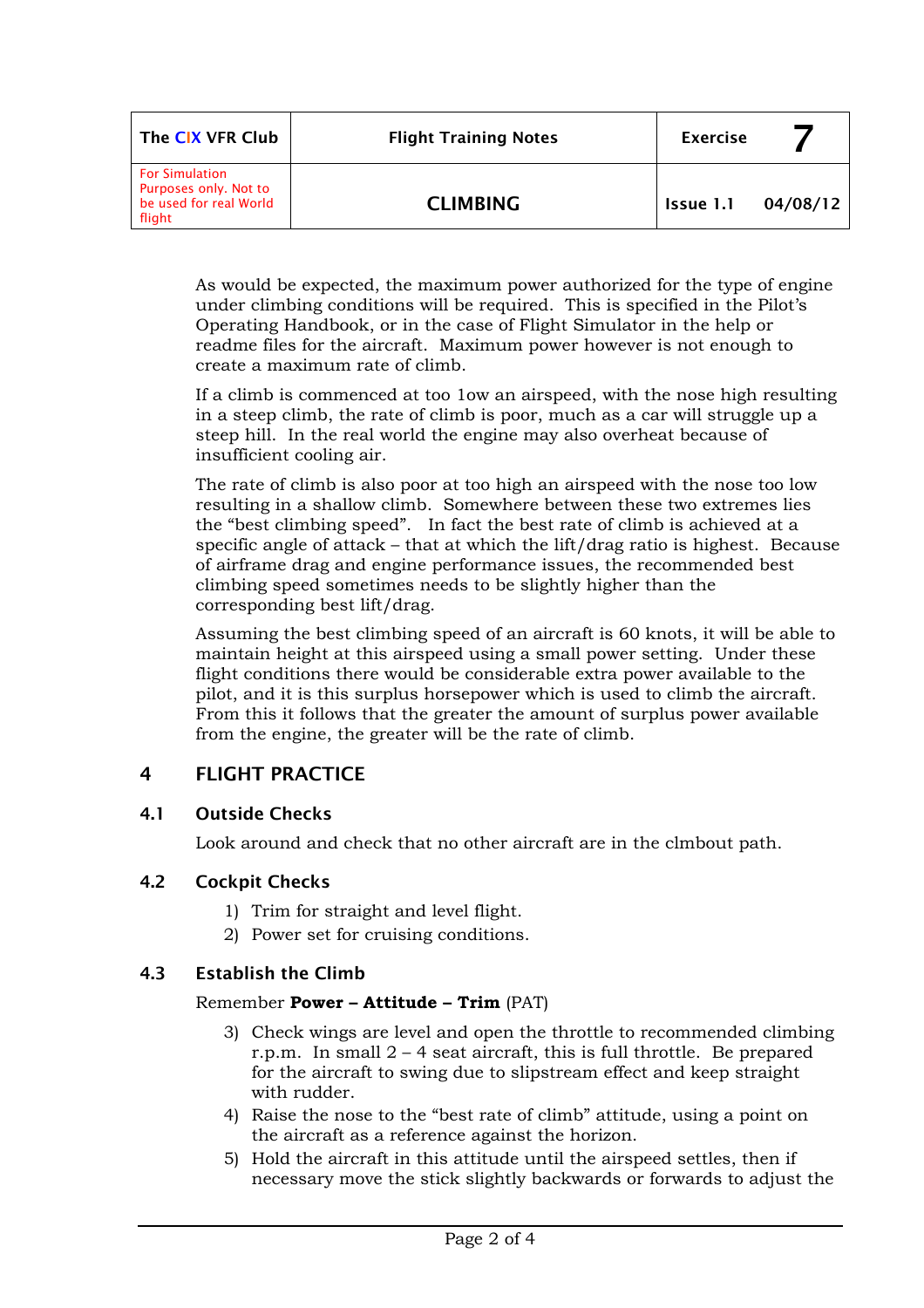| The CIX VFR Club                                                                   | <b>Flight Training Notes</b> | <b>Exercise</b> |          |
|------------------------------------------------------------------------------------|------------------------------|-----------------|----------|
| <b>For Simulation</b><br>Purposes only. Not to<br>be used for real World<br>flight | <b>CLIMBING</b>              | Issue 1.1       | 04/08/12 |

As would be expected, the maximum power authorized for the type of engine under climbing conditions will be required. This is specified in the Pilot's Operating Handbook, or in the case of Flight Simulator in the help or readme files for the aircraft. Maximum power however is not enough to create a maximum rate of climb.

If a climb is commenced at too 1ow an airspeed, with the nose high resulting in a steep climb, the rate of climb is poor, much as a car will struggle up a steep hill. In the real world the engine may also overheat because of insufficient cooling air.

The rate of climb is also poor at too high an airspeed with the nose too low resulting in a shallow climb. Somewhere between these two extremes lies the "best climbing speed". In fact the best rate of climb is achieved at a specific angle of attack – that at which the lift/drag ratio is highest. Because of airframe drag and engine performance issues, the recommended best climbing speed sometimes needs to be slightly higher than the corresponding best lift/drag.

Assuming the best climbing speed of an aircraft is 60 knots, it will be able to maintain height at this airspeed using a small power setting. Under these flight conditions there would be considerable extra power available to the pilot, and it is this surplus horsepower which is used to climb the aircraft. From this it follows that the greater the amount of surplus power available from the engine, the greater will be the rate of climb.

# 4 FLIGHT PRACTICE

#### 4.1 Outside Checks

Look around and check that no other aircraft are in the clmbout path.

## 4.2 Cockpit Checks

- 1) Trim for straight and level flight.
- 2) Power set for cruising conditions.

## 4.3 Establish the Climb

#### Remember **Power – Attitude – Trim** (PAT)

- 3) Check wings are level and open the throttle to recommended climbing r.p.m. In small  $2 - 4$  seat aircraft, this is full throttle. Be prepared for the aircraft to swing due to slipstream effect and keep straight with rudder.
- 4) Raise the nose to the "best rate of climb" attitude, using a point on the aircraft as a reference against the horizon.
- 5) Hold the aircraft in this attitude until the airspeed settles, then if necessary move the stick slightly backwards or forwards to adjust the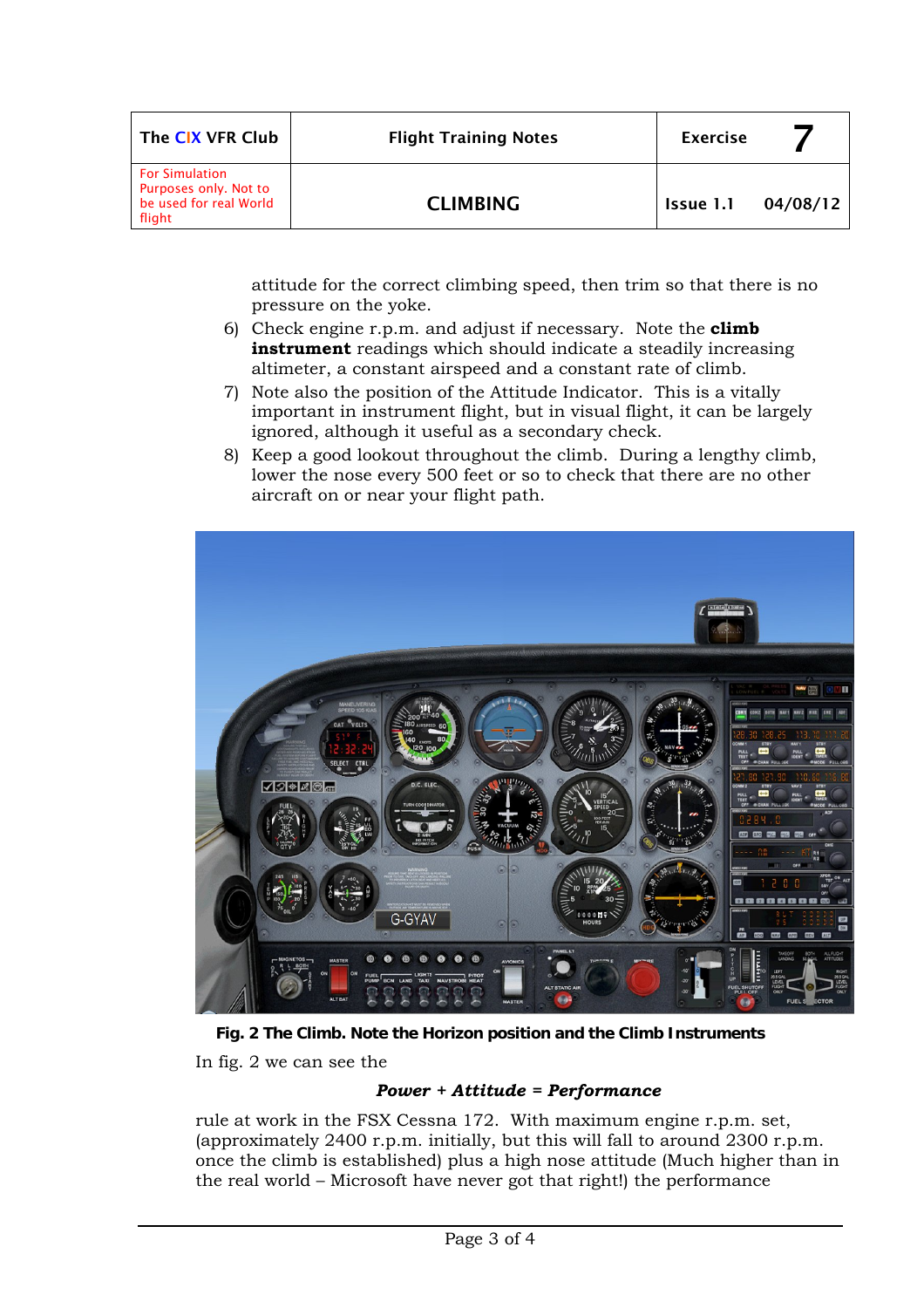| The CIX VFR Club                                                                   | <b>Flight Training Notes</b> | <b>Exercise</b> |          |
|------------------------------------------------------------------------------------|------------------------------|-----------------|----------|
| <b>For Simulation</b><br>Purposes only. Not to<br>be used for real World<br>flight | <b>CLIMBING</b>              | Issue 1.1       | 04/08/12 |

attitude for the correct climbing speed, then trim so that there is no pressure on the yoke.

- 6) Check engine r.p.m. and adjust if necessary. Note the **climb instrument** readings which should indicate a steadily increasing altimeter, a constant airspeed and a constant rate of climb.
- 7) Note also the position of the Attitude Indicator. This is a vitally important in instrument flight, but in visual flight, it can be largely ignored, although it useful as a secondary check.
- 8) Keep a good lookout throughout the climb. During a lengthy climb, lower the nose every 500 feet or so to check that there are no other aircraft on or near your flight path.



**Fig. 2 The Climb. Note the Horizon position and the Climb Instruments**  In fig. 2 we can see the

#### *Power + Attitude = Performance*

rule at work in the FSX Cessna 172. With maximum engine r.p.m. set, (approximately 2400 r.p.m. initially, but this will fall to around 2300 r.p.m. once the climb is established) plus a high nose attitude (Much higher than in the real world – Microsoft have never got that right!) the performance